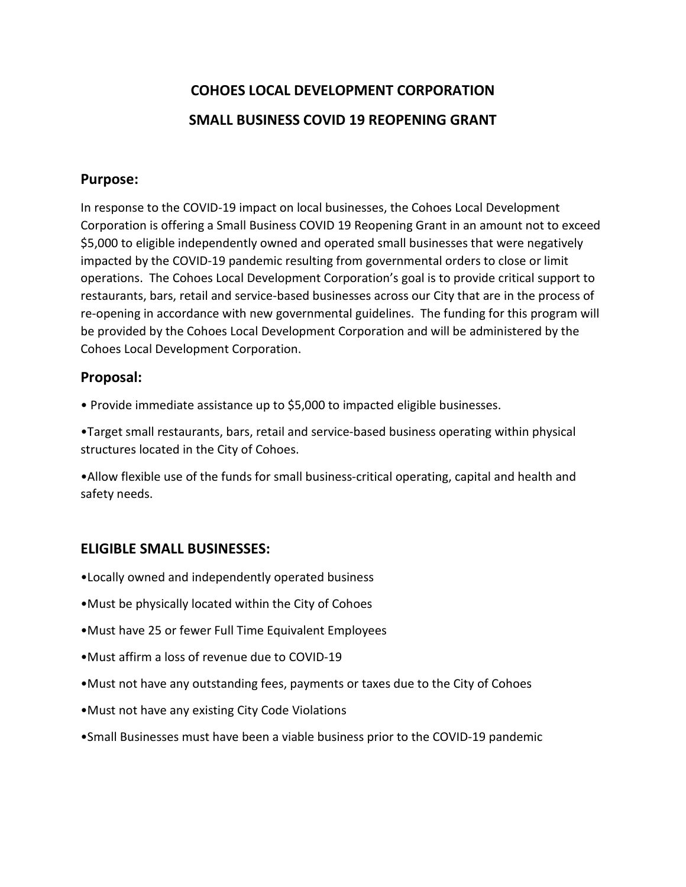# **COHOES LOCAL DEVELOPMENT CORPORATION SMALL BUSINESS COVID 19 REOPENING GRANT**

## **Purpose:**

In response to the COVID-19 impact on local businesses, the Cohoes Local Development Corporation is offering a Small Business COVID 19 Reopening Grant in an amount not to exceed \$5,000 to eligible independently owned and operated small businesses that were negatively impacted by the COVID-19 pandemic resulting from governmental orders to close or limit operations. The Cohoes Local Development Corporation's goal is to provide critical support to restaurants, bars, retail and service-based businesses across our City that are in the process of re-opening in accordance with new governmental guidelines. The funding for this program will be provided by the Cohoes Local Development Corporation and will be administered by the Cohoes Local Development Corporation.

## **Proposal:**

• Provide immediate assistance up to \$5,000 to impacted eligible businesses.

•Target small restaurants, bars, retail and service-based business operating within physical structures located in the City of Cohoes.

•Allow flexible use of the funds for small business-critical operating, capital and health and safety needs.

## **ELIGIBLE SMALL BUSINESSES:**

- •Locally owned and independently operated business
- •Must be physically located within the City of Cohoes
- •Must have 25 or fewer Full Time Equivalent Employees
- •Must affirm a loss of revenue due to COVID-19
- •Must not have any outstanding fees, payments or taxes due to the City of Cohoes
- •Must not have any existing City Code Violations
- •Small Businesses must have been a viable business prior to the COVID-19 pandemic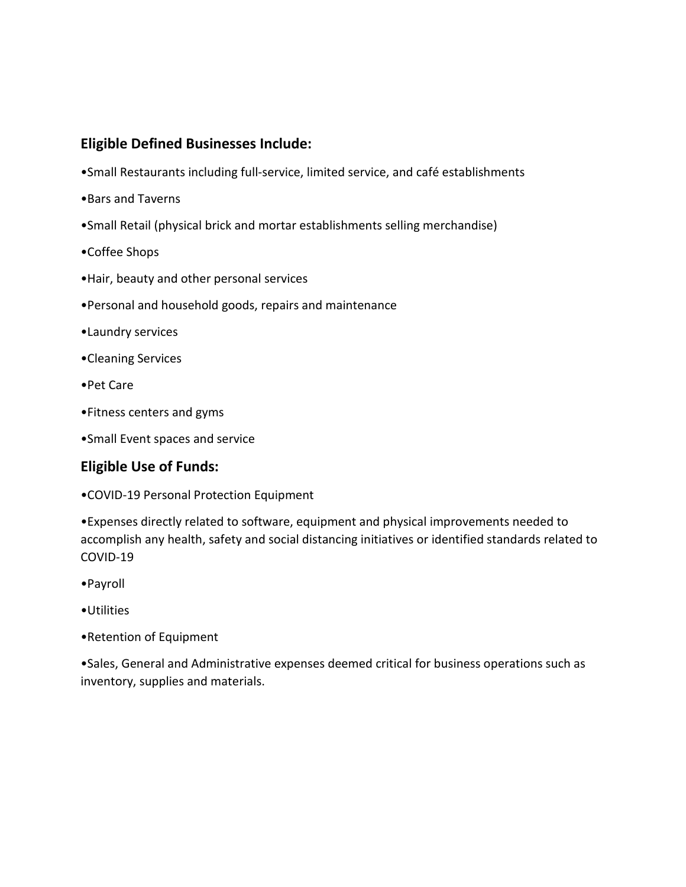## **Eligible Defined Businesses Include:**

- •Small Restaurants including full-service, limited service, and café establishments
- •Bars and Taverns
- •Small Retail (physical brick and mortar establishments selling merchandise)
- •Coffee Shops
- •Hair, beauty and other personal services
- •Personal and household goods, repairs and maintenance
- •Laundry services
- •Cleaning Services
- •Pet Care
- •Fitness centers and gyms
- •Small Event spaces and service

## **Eligible Use of Funds:**

•COVID-19 Personal Protection Equipment

•Expenses directly related to software, equipment and physical improvements needed to accomplish any health, safety and social distancing initiatives or identified standards related to COVID-19

- •Payroll
- •Utilities
- •Retention of Equipment

•Sales, General and Administrative expenses deemed critical for business operations such as inventory, supplies and materials.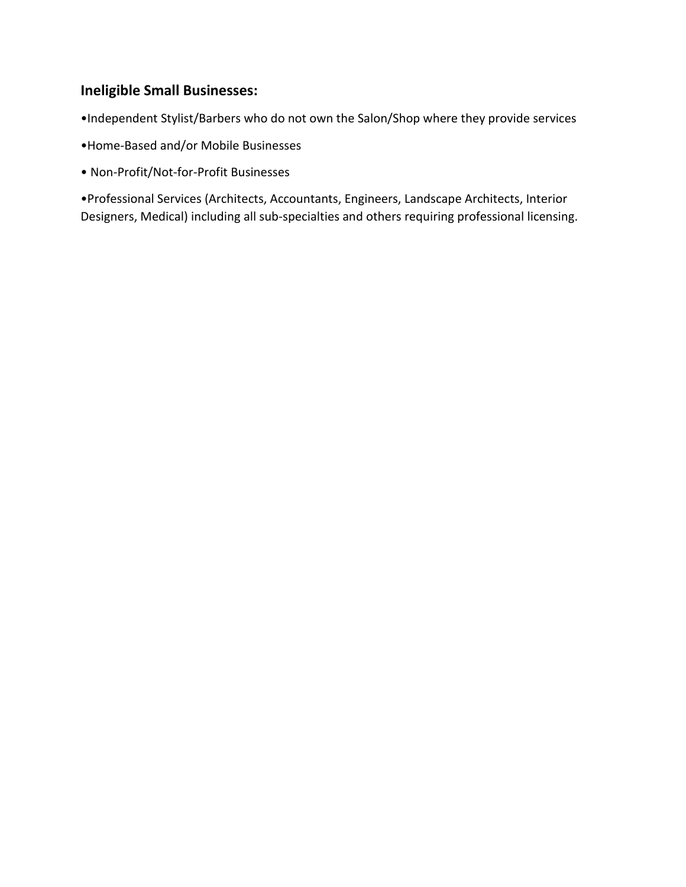## **Ineligible Small Businesses:**

•Independent Stylist/Barbers who do not own the Salon/Shop where they provide services

- •Home-Based and/or Mobile Businesses
- Non-Profit/Not-for-Profit Businesses

•Professional Services (Architects, Accountants, Engineers, Landscape Architects, Interior Designers, Medical) including all sub-specialties and others requiring professional licensing.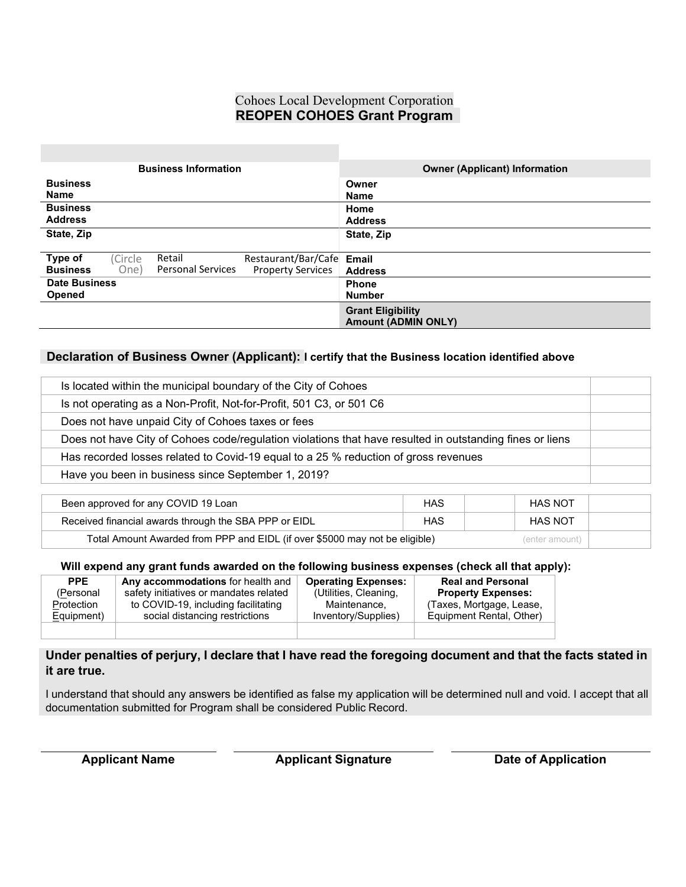### Cohoes Local Development Corporation **REOPEN COHOES Grant Program**

| <b>Business Information</b>                                                     | <b>Owner (Applicant) Information</b> |  |
|---------------------------------------------------------------------------------|--------------------------------------|--|
| <b>Business</b>                                                                 | Owner                                |  |
| <b>Name</b>                                                                     | <b>Name</b>                          |  |
| <b>Business</b>                                                                 | Home                                 |  |
| <b>Address</b>                                                                  | <b>Address</b>                       |  |
| State, Zip                                                                      | State, Zip                           |  |
|                                                                                 |                                      |  |
| Type of<br>(Circle<br>Retail<br>Restaurant/Bar/Cafe Email                       |                                      |  |
| <b>Personal Services</b><br><b>Business</b><br><b>Property Services</b><br>One) | <b>Address</b>                       |  |
| <b>Date Business</b>                                                            | <b>Phone</b>                         |  |
| <b>Opened</b>                                                                   | <b>Number</b>                        |  |
|                                                                                 | <b>Grant Eligibility</b>             |  |
|                                                                                 | <b>Amount (ADMIN ONLY)</b>           |  |

#### **Declaration of Business Owner (Applicant): I certify that the Business location identified above**

| Is located within the municipal boundary of the City of Cohoes                                           |  |
|----------------------------------------------------------------------------------------------------------|--|
| Is not operating as a Non-Profit, Not-for-Profit, 501 C3, or 501 C6                                      |  |
| Does not have unpaid City of Cohoes taxes or fees                                                        |  |
| Does not have City of Cohoes code/regulation violations that have resulted in outstanding fines or liens |  |
| Has recorded losses related to Covid-19 equal to a 25 % reduction of gross revenues                      |  |
| Have you been in business since September 1, 2019?                                                       |  |

| Been approved for any COVID 19 Loan                                                           | HAS | <b>HAS NOT</b> |  |  |
|-----------------------------------------------------------------------------------------------|-----|----------------|--|--|
| Received financial awards through the SBA PPP or EIDL                                         | HAS | <b>HAS NOT</b> |  |  |
| Total Amount Awarded from PPP and EIDL (if over \$5000 may not be eligible)<br>(enter amount) |     |                |  |  |

#### **Will expend any grant funds awarded on the following business expenses (check all that apply):**

| <b>PPE</b> | Any accommodations for health and      | <b>Operating Expenses:</b> | <b>Real and Personal</b>  |
|------------|----------------------------------------|----------------------------|---------------------------|
| (Personal  | safety initiatives or mandates related | (Utilities, Cleaning,      | <b>Property Expenses:</b> |
| Protection | to COVID-19, including facilitating    | Maintenance.               | (Taxes, Mortgage, Lease,  |
| Equipment) | social distancing restrictions         | Inventory/Supplies)        | Equipment Rental, Other)  |
|            |                                        |                            |                           |

#### Under penalties of perjury, I declare that I have read the foregoing document and that the facts stated in **it are true.**

I understand that should any answers be identified as false my application will be determined null and void. I accept that all documentation submitted for Program shall be considered Public Record.

**Applicant Name Applicant Signature Date of Application**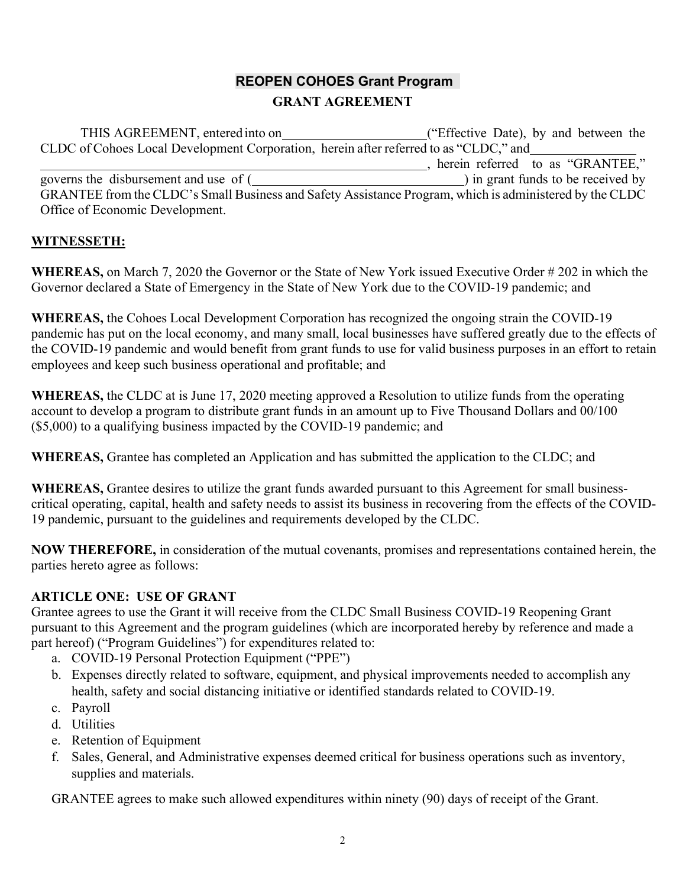# **REOPEN COHOES Grant Program**

## **GRANT AGREEMENT**

THIS AGREEMENT, entered into on ("Effective Date), by and between the CLDC of Cohoes Local Development Corporation, herein after referred to as "CLDC," and  $\overline{1}$ , herein referred to as "GRANTEE," governs the disbursement and use of ( ) in grant funds to be received by GRANTEE from the CLDC's Small Business and Safety Assistance Program, which is administered by the CLDC Office of Economic Development.

## **WITNESSETH:**

**WHEREAS,** on March 7, 2020 the Governor or the State of New York issued Executive Order # 202 in which the Governor declared a State of Emergency in the State of New York due to the COVID-19 pandemic; and

**WHEREAS,** the Cohoes Local Development Corporation has recognized the ongoing strain the COVID-19 pandemic has put on the local economy, and many small, local businesses have suffered greatly due to the effects of the COVID-19 pandemic and would benefit from grant funds to use for valid business purposes in an effort to retain employees and keep such business operational and profitable; and

**WHEREAS,** the CLDC at is June 17, 2020 meeting approved a Resolution to utilize funds from the operating account to develop a program to distribute grant funds in an amount up to Five Thousand Dollars and 00/100 (\$5,000) to a qualifying business impacted by the COVID-19 pandemic; and

**WHEREAS,** Grantee has completed an Application and has submitted the application to the CLDC; and

**WHEREAS,** Grantee desires to utilize the grant funds awarded pursuant to this Agreement for small businesscritical operating, capital, health and safety needs to assist its business in recovering from the effects of the COVID-19 pandemic, pursuant to the guidelines and requirements developed by the CLDC.

**NOW THEREFORE,** in consideration of the mutual covenants, promises and representations contained herein, the parties hereto agree as follows:

## **ARTICLE ONE: USE OF GRANT**

Grantee agrees to use the Grant it will receive from the CLDC Small Business COVID-19 Reopening Grant pursuant to this Agreement and the program guidelines (which are incorporated hereby by reference and made a part hereof) ("Program Guidelines") for expenditures related to:

- a. COVID-19 Personal Protection Equipment ("PPE")
- b. Expenses directly related to software, equipment, and physical improvements needed to accomplish any health, safety and social distancing initiative or identified standards related to COVID-19.
- c. Payroll
- d. Utilities
- e. Retention of Equipment
- f. Sales, General, and Administrative expenses deemed critical for business operations such as inventory, supplies and materials.

GRANTEE agrees to make such allowed expenditures within ninety (90) days of receipt of the Grant.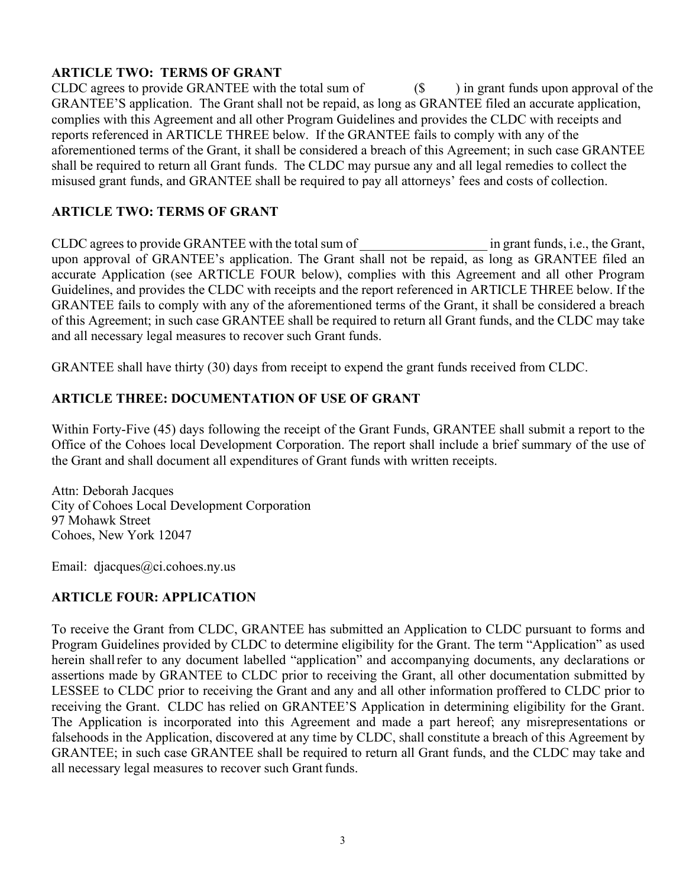## **ARTICLE TWO: TERMS OF GRANT**

CLDC agrees to provide GRANTEE with the total sum of  $(S - )$  in grant funds upon approval of the GRANTEE'S application. The Grant shall not be repaid, as long as GRANTEE filed an accurate application, complies with this Agreement and all other Program Guidelines and provides the CLDC with receipts and reports referenced in ARTICLE THREE below. If the GRANTEE fails to comply with any of the aforementioned terms of the Grant, it shall be considered a breach of this Agreement; in such case GRANTEE shall be required to return all Grant funds. The CLDC may pursue any and all legal remedies to collect the misused grant funds, and GRANTEE shall be required to pay all attorneys' fees and costs of collection.

## **ARTICLE TWO: TERMS OF GRANT**

CLDC agrees to provide GRANTEE with the total sum of  $\Box$  in grant funds, i.e., the Grant, upon approval of GRANTEE's application. The Grant shall not be repaid, as long as GRANTEE filed an accurate Application (see ARTICLE FOUR below), complies with this Agreement and all other Program Guidelines, and provides the CLDC with receipts and the report referenced in ARTICLE THREE below. If the GRANTEE fails to comply with any of the aforementioned terms of the Grant, it shall be considered a breach of this Agreement; in such case GRANTEE shall be required to return all Grant funds, and the CLDC may take and all necessary legal measures to recover such Grant funds.

GRANTEE shall have thirty (30) days from receipt to expend the grant funds received from CLDC.

## **ARTICLE THREE: DOCUMENTATION OF USE OF GRANT**

Within Forty-Five (45) days following the receipt of the Grant Funds, GRANTEE shall submit a report to the Office of the Cohoes local Development Corporation. The report shall include a brief summary of the use of the Grant and shall document all expenditures of Grant funds with written receipts.

Attn: Deborah Jacques City of Cohoes Local Development Corporation 97 Mohawk Street Cohoes, New York 12047

Email: djacques@ci.cohoes.ny.us

## **ARTICLE FOUR: APPLICATION**

To receive the Grant from CLDC, GRANTEE has submitted an Application to CLDC pursuant to forms and Program Guidelines provided by CLDC to determine eligibility for the Grant. The term "Application" as used herein shall refer to any document labelled "application" and accompanying documents, any declarations or assertions made by GRANTEE to CLDC prior to receiving the Grant, all other documentation submitted by LESSEE to CLDC prior to receiving the Grant and any and all other information proffered to CLDC prior to receiving the Grant. CLDC has relied on GRANTEE'S Application in determining eligibility for the Grant. The Application is incorporated into this Agreement and made a part hereof; any misrepresentations or falsehoods in the Application, discovered at any time by CLDC, shall constitute a breach of this Agreement by GRANTEE; in such case GRANTEE shall be required to return all Grant funds, and the CLDC may take and all necessary legal measures to recover such Grantfunds.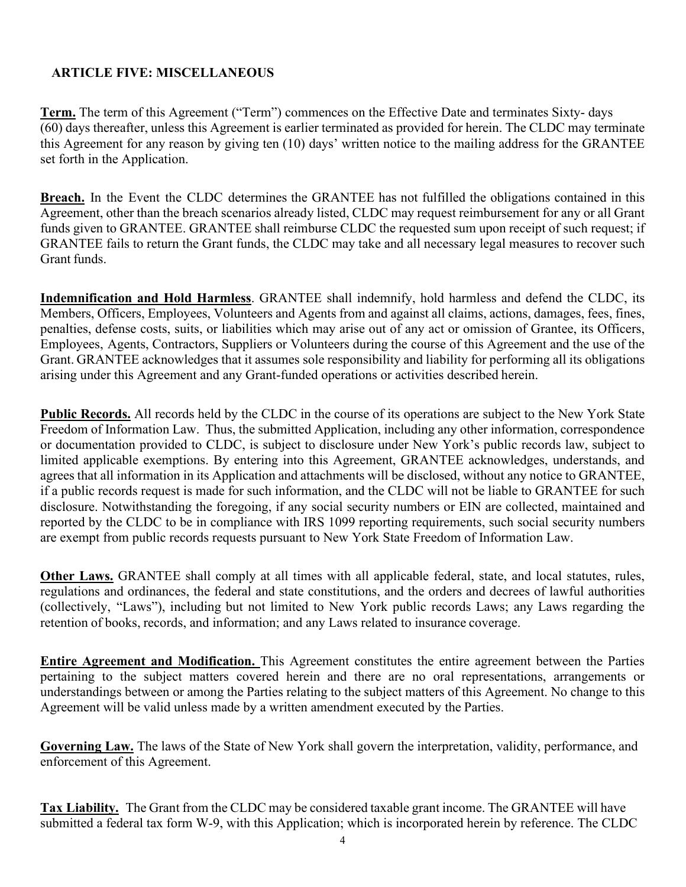## **ARTICLE FIVE: MISCELLANEOUS**

**Term.** The term of this Agreement ("Term") commences on the Effective Date and terminates Sixty- days (60) days thereafter, unless this Agreement is earlier terminated as provided for herein. The CLDC may terminate this Agreement for any reason by giving ten (10) days' written notice to the mailing address for the GRANTEE set forth in the Application.

**Breach.** In the Event the CLDC determines the GRANTEE has not fulfilled the obligations contained in this Agreement, other than the breach scenarios already listed, CLDC may request reimbursement for any or all Grant funds given to GRANTEE. GRANTEE shall reimburse CLDC the requested sum upon receipt of such request; if GRANTEE fails to return the Grant funds, the CLDC may take and all necessary legal measures to recover such Grant funds.

**Indemnification and Hold Harmless**. GRANTEE shall indemnify, hold harmless and defend the CLDC, its Members, Officers, Employees, Volunteers and Agents from and against all claims, actions, damages, fees, fines, penalties, defense costs, suits, or liabilities which may arise out of any act or omission of Grantee, its Officers, Employees, Agents, Contractors, Suppliers or Volunteers during the course of this Agreement and the use of the Grant. GRANTEE acknowledges that it assumes sole responsibility and liability for performing all its obligations arising under this Agreement and any Grant-funded operations or activities described herein.

**Public Records.** All records held by the CLDC in the course of its operations are subject to the New York State Freedom of Information Law. Thus, the submitted Application, including any other information, correspondence or documentation provided to CLDC, is subject to disclosure under New York's public records law, subject to limited applicable exemptions. By entering into this Agreement, GRANTEE acknowledges, understands, and agrees that all information in its Application and attachments will be disclosed, without any notice to GRANTEE, if a public records request is made for such information, and the CLDC will not be liable to GRANTEE for such disclosure. Notwithstanding the foregoing, if any social security numbers or EIN are collected, maintained and reported by the CLDC to be in compliance with IRS 1099 reporting requirements, such social security numbers are exempt from public records requests pursuant to New York State Freedom of Information Law.

**Other Laws.** GRANTEE shall comply at all times with all applicable federal, state, and local statutes, rules, regulations and ordinances, the federal and state constitutions, and the orders and decrees of lawful authorities (collectively, "Laws"), including but not limited to New York public records Laws; any Laws regarding the retention of books, records, and information; and any Laws related to insurance coverage.

**Entire Agreement and Modification.** This Agreement constitutes the entire agreement between the Parties pertaining to the subject matters covered herein and there are no oral representations, arrangements or understandings between or among the Parties relating to the subject matters of this Agreement. No change to this Agreement will be valid unless made by a written amendment executed by the Parties.

**Governing Law.** The laws of the State of New York shall govern the interpretation, validity, performance, and enforcement of this Agreement.

**Tax Liability.** The Grant from the CLDC may be considered taxable grant income. The GRANTEE will have submitted a federal tax form W-9, with this Application; which is incorporated herein by reference. The CLDC